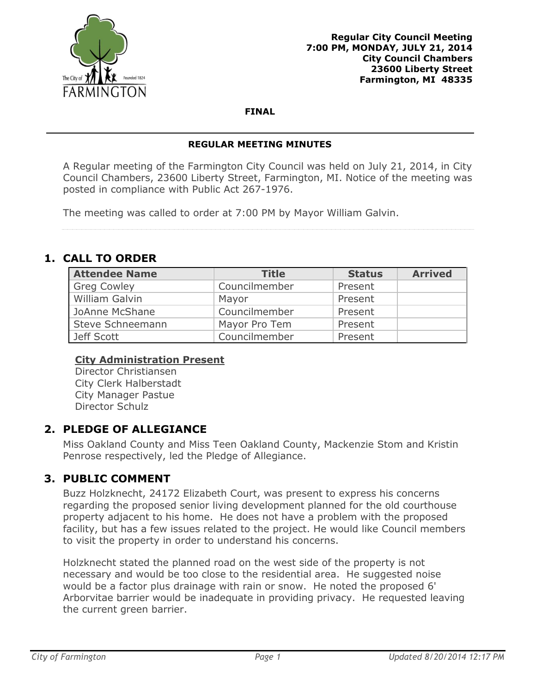

**FINAL**

#### **REGULAR MEETING MINUTES**

A Regular meeting of the Farmington City Council was held on July 21, 2014, in City Council Chambers, 23600 Liberty Street, Farmington, MI. Notice of the meeting was posted in compliance with Public Act 267-1976.

The meeting was called to order at 7:00 PM by Mayor William Galvin.

# **1. CALL TO ORDER**

| <b>Attendee Name</b> | <b>Title</b>  | <b>Status</b> | <b>Arrived</b> |
|----------------------|---------------|---------------|----------------|
| <b>Greg Cowley</b>   | Councilmember | Present       |                |
| William Galvin       | Mayor         | Present       |                |
| JoAnne McShane       | Councilmember | Present       |                |
| Steve Schneemann     | Mayor Pro Tem | Present       |                |
| Jeff Scott           | Councilmember | Present       |                |

### **City Administration Present**

Director Christiansen City Clerk Halberstadt City Manager Pastue Director Schulz

## **2. PLEDGE OF ALLEGIANCE**

Miss Oakland County and Miss Teen Oakland County, Mackenzie Stom and Kristin Penrose respectively, led the Pledge of Allegiance.

## **3. PUBLIC COMMENT**

Buzz Holzknecht, 24172 Elizabeth Court, was present to express his concerns regarding the proposed senior living development planned for the old courthouse property adjacent to his home. He does not have a problem with the proposed facility, but has a few issues related to the project. He would like Council members to visit the property in order to understand his concerns.

Holzknecht stated the planned road on the west side of the property is not necessary and would be too close to the residential area. He suggested noise would be a factor plus drainage with rain or snow. He noted the proposed 6' Arborvitae barrier would be inadequate in providing privacy. He requested leaving the current green barrier.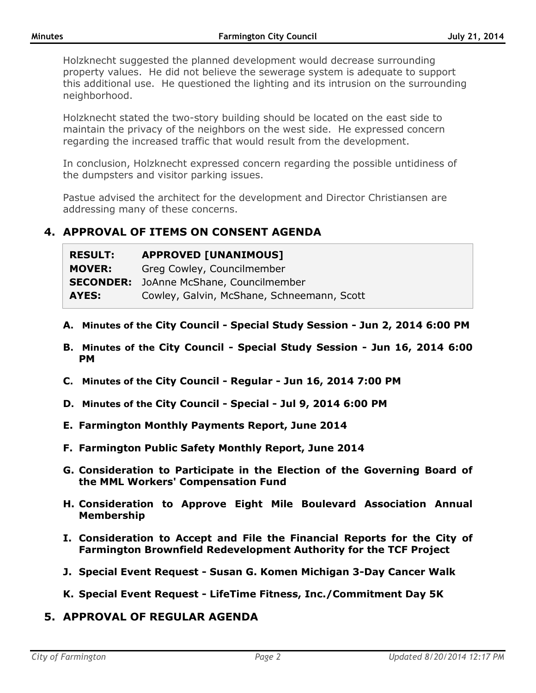Holzknecht suggested the planned development would decrease surrounding property values. He did not believe the sewerage system is adequate to support this additional use. He questioned the lighting and its intrusion on the surrounding neighborhood.

Holzknecht stated the two-story building should be located on the east side to maintain the privacy of the neighbors on the west side. He expressed concern regarding the increased traffic that would result from the development.

In conclusion, Holzknecht expressed concern regarding the possible untidiness of the dumpsters and visitor parking issues.

Pastue advised the architect for the development and Director Christiansen are addressing many of these concerns.

## **4. APPROVAL OF ITEMS ON CONSENT AGENDA**

| <b>RESULT:</b> | <b>APPROVED [UNANIMOUS]</b>                    |
|----------------|------------------------------------------------|
| <b>MOVER:</b>  | Greg Cowley, Councilmember                     |
|                | <b>SECONDER:</b> JoAnne McShane, Councilmember |
| AYES:          | Cowley, Galvin, McShane, Schneemann, Scott     |

- **A. Minutes of the City Council - Special Study Session - Jun 2, 2014 6:00 PM**
- **B. Minutes of the City Council - Special Study Session - Jun 16, 2014 6:00 PM**
- **C. Minutes of the City Council - Regular - Jun 16, 2014 7:00 PM**
- **D. Minutes of the City Council - Special - Jul 9, 2014 6:00 PM**
- **E. Farmington Monthly Payments Report, June 2014**
- **F. Farmington Public Safety Monthly Report, June 2014**
- **G. Consideration to Participate in the Election of the Governing Board of the MML Workers' Compensation Fund**
- **H. Consideration to Approve Eight Mile Boulevard Association Annual Membership**
- **I. Consideration to Accept and File the Financial Reports for the City of Farmington Brownfield Redevelopment Authority for the TCF Project**
- **J. Special Event Request - Susan G. Komen Michigan 3-Day Cancer Walk**
- **K. Special Event Request - LifeTime Fitness, Inc./Commitment Day 5K**
- **5. APPROVAL OF REGULAR AGENDA**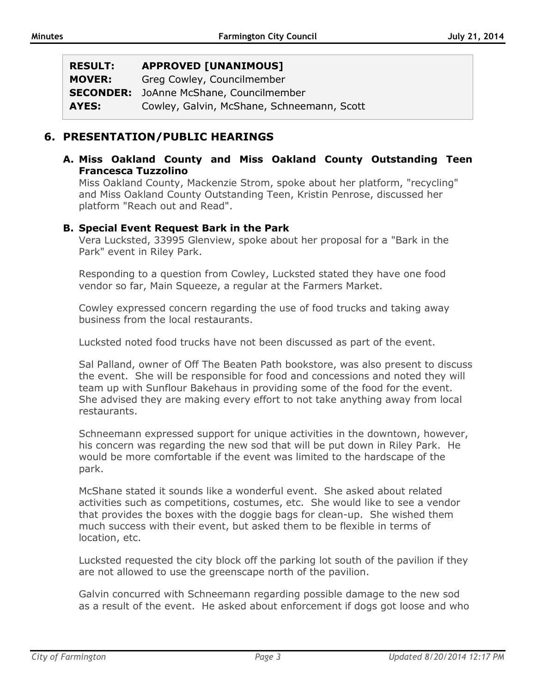| <b>RESULT:</b> | <b>APPROVED [UNANIMOUS]</b>                    |
|----------------|------------------------------------------------|
| <b>MOVER:</b>  | Greg Cowley, Councilmember                     |
|                | <b>SECONDER:</b> JoAnne McShane, Councilmember |
| AYES:          | Cowley, Galvin, McShane, Schneemann, Scott     |

## **6. PRESENTATION/PUBLIC HEARINGS**

#### **A. Miss Oakland County and Miss Oakland County Outstanding Teen Francesca Tuzzolino**

Miss Oakland County, Mackenzie Strom, spoke about her platform, "recycling" and Miss Oakland County Outstanding Teen, Kristin Penrose, discussed her platform "Reach out and Read".

#### **B. Special Event Request Bark in the Park**

Vera Lucksted, 33995 Glenview, spoke about her proposal for a "Bark in the Park" event in Riley Park.

Responding to a question from Cowley, Lucksted stated they have one food vendor so far, Main Squeeze, a regular at the Farmers Market.

Cowley expressed concern regarding the use of food trucks and taking away business from the local restaurants.

Lucksted noted food trucks have not been discussed as part of the event.

Sal Palland, owner of Off The Beaten Path bookstore, was also present to discuss the event. She will be responsible for food and concessions and noted they will team up with Sunflour Bakehaus in providing some of the food for the event. She advised they are making every effort to not take anything away from local restaurants.

Schneemann expressed support for unique activities in the downtown, however, his concern was regarding the new sod that will be put down in Riley Park. He would be more comfortable if the event was limited to the hardscape of the park.

McShane stated it sounds like a wonderful event. She asked about related activities such as competitions, costumes, etc. She would like to see a vendor that provides the boxes with the doggie bags for clean-up. She wished them much success with their event, but asked them to be flexible in terms of location, etc.

Lucksted requested the city block off the parking lot south of the pavilion if they are not allowed to use the greenscape north of the pavilion.

Galvin concurred with Schneemann regarding possible damage to the new sod as a result of the event. He asked about enforcement if dogs got loose and who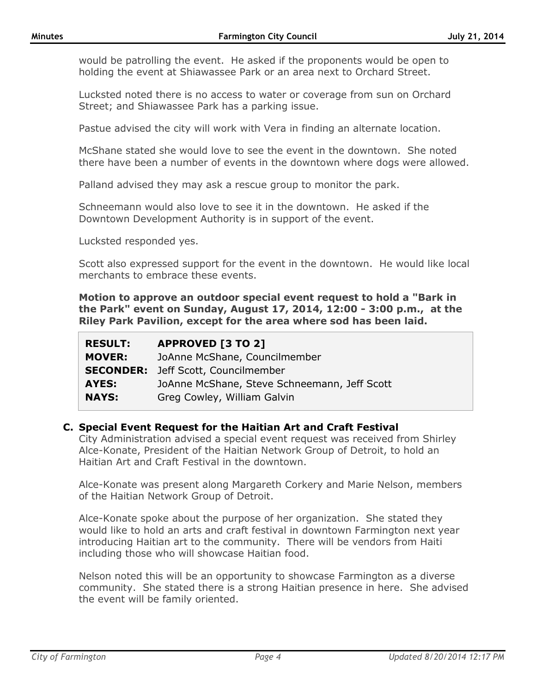would be patrolling the event. He asked if the proponents would be open to holding the event at Shiawassee Park or an area next to Orchard Street.

Lucksted noted there is no access to water or coverage from sun on Orchard Street; and Shiawassee Park has a parking issue.

Pastue advised the city will work with Vera in finding an alternate location.

McShane stated she would love to see the event in the downtown. She noted there have been a number of events in the downtown where dogs were allowed.

Palland advised they may ask a rescue group to monitor the park.

Schneemann would also love to see it in the downtown. He asked if the Downtown Development Authority is in support of the event.

Lucksted responded yes.

Scott also expressed support for the event in the downtown. He would like local merchants to embrace these events.

**Motion to approve an outdoor special event request to hold a "Bark in the Park" event on Sunday, August 17, 2014, 12:00 - 3:00 p.m., at the Riley Park Pavilion, except for the area where sod has been laid.**

| <b>RESULT:</b> | <b>APPROVED [3 TO 2]</b>                     |
|----------------|----------------------------------------------|
| <b>MOVER:</b>  | JoAnne McShane, Councilmember                |
|                | <b>SECONDER:</b> Jeff Scott, Councilmember   |
| AYES:          | JoAnne McShane, Steve Schneemann, Jeff Scott |
| <b>NAYS:</b>   | Greg Cowley, William Galvin                  |

#### **C. Special Event Request for the Haitian Art and Craft Festival**

City Administration advised a special event request was received from Shirley Alce-Konate, President of the Haitian Network Group of Detroit, to hold an Haitian Art and Craft Festival in the downtown.

Alce-Konate was present along Margareth Corkery and Marie Nelson, members of the Haitian Network Group of Detroit.

Alce-Konate spoke about the purpose of her organization. She stated they would like to hold an arts and craft festival in downtown Farmington next year introducing Haitian art to the community. There will be vendors from Haiti including those who will showcase Haitian food.

Nelson noted this will be an opportunity to showcase Farmington as a diverse community. She stated there is a strong Haitian presence in here. She advised the event will be family oriented.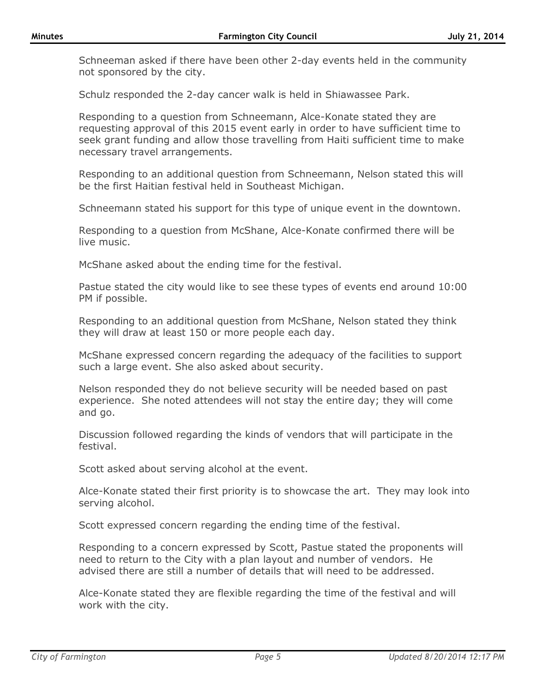Schneeman asked if there have been other 2-day events held in the community not sponsored by the city.

Schulz responded the 2-day cancer walk is held in Shiawassee Park.

Responding to a question from Schneemann, Alce-Konate stated they are requesting approval of this 2015 event early in order to have sufficient time to seek grant funding and allow those travelling from Haiti sufficient time to make necessary travel arrangements.

Responding to an additional question from Schneemann, Nelson stated this will be the first Haitian festival held in Southeast Michigan.

Schneemann stated his support for this type of unique event in the downtown.

Responding to a question from McShane, Alce-Konate confirmed there will be live music.

McShane asked about the ending time for the festival.

Pastue stated the city would like to see these types of events end around 10:00 PM if possible.

Responding to an additional question from McShane, Nelson stated they think they will draw at least 150 or more people each day.

McShane expressed concern regarding the adequacy of the facilities to support such a large event. She also asked about security.

Nelson responded they do not believe security will be needed based on past experience. She noted attendees will not stay the entire day; they will come and go.

Discussion followed regarding the kinds of vendors that will participate in the festival.

Scott asked about serving alcohol at the event.

Alce-Konate stated their first priority is to showcase the art. They may look into serving alcohol.

Scott expressed concern regarding the ending time of the festival.

Responding to a concern expressed by Scott, Pastue stated the proponents will need to return to the City with a plan layout and number of vendors. He advised there are still a number of details that will need to be addressed.

Alce-Konate stated they are flexible regarding the time of the festival and will work with the city.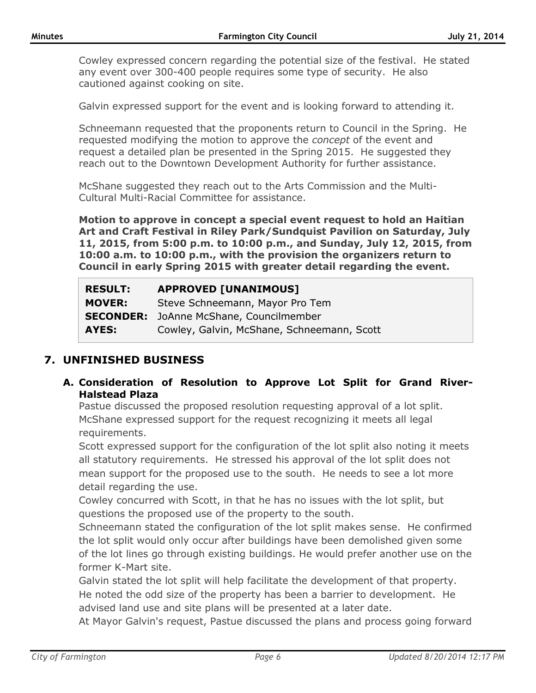Cowley expressed concern regarding the potential size of the festival. He stated any event over 300-400 people requires some type of security. He also cautioned against cooking on site.

Galvin expressed support for the event and is looking forward to attending it.

Schneemann requested that the proponents return to Council in the Spring. He requested modifying the motion to approve the *concept* of the event and request a detailed plan be presented in the Spring 2015. He suggested they reach out to the Downtown Development Authority for further assistance.

McShane suggested they reach out to the Arts Commission and the Multi-Cultural Multi-Racial Committee for assistance.

**Motion to approve in concept a special event request to hold an Haitian Art and Craft Festival in Riley Park/Sundquist Pavilion on Saturday, July 11, 2015, from 5:00 p.m. to 10:00 p.m., and Sunday, July 12, 2015, from 10:00 a.m. to 10:00 p.m., with the provision the organizers return to Council in early Spring 2015 with greater detail regarding the event.**

| <b>RESULT:</b> | <b>APPROVED [UNANIMOUS]</b>                    |
|----------------|------------------------------------------------|
| <b>MOVER:</b>  | Steve Schneemann, Mayor Pro Tem                |
|                | <b>SECONDER:</b> JoAnne McShane, Councilmember |
| AYES:          | Cowley, Galvin, McShane, Schneemann, Scott     |

## **7. UNFINISHED BUSINESS**

**A. Consideration of Resolution to Approve Lot Split for Grand River-Halstead Plaza**

Pastue discussed the proposed resolution requesting approval of a lot split. McShane expressed support for the request recognizing it meets all legal requirements.

Scott expressed support for the configuration of the lot split also noting it meets all statutory requirements. He stressed his approval of the lot split does not mean support for the proposed use to the south. He needs to see a lot more detail regarding the use.

Cowley concurred with Scott, in that he has no issues with the lot split, but questions the proposed use of the property to the south.

Schneemann stated the configuration of the lot split makes sense. He confirmed the lot split would only occur after buildings have been demolished given some of the lot lines go through existing buildings. He would prefer another use on the former K-Mart site.

Galvin stated the lot split will help facilitate the development of that property. He noted the odd size of the property has been a barrier to development. He advised land use and site plans will be presented at a later date.

At Mayor Galvin's request, Pastue discussed the plans and process going forward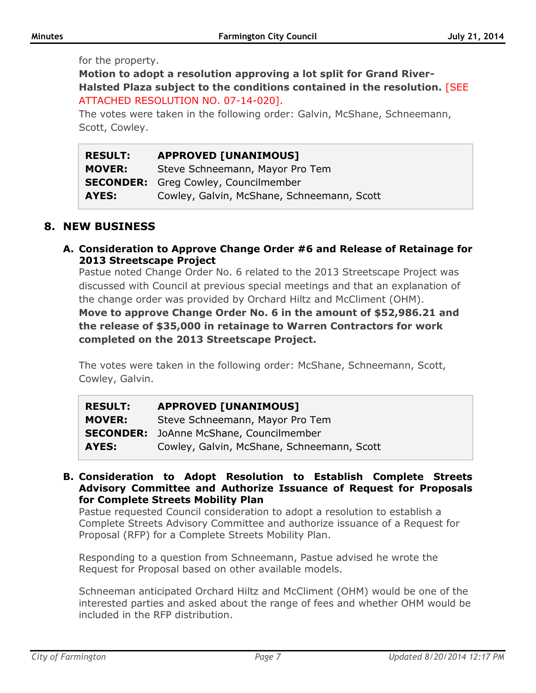#### for the property.

**Motion to adopt a resolution approving a lot split for Grand River-Halsted Plaza subject to the conditions contained in the resolution.** [SEE ATTACHED RESOLUTION NO. 07-14-020].

The votes were taken in the following order: Galvin, McShane, Schneemann, Scott, Cowley.

| <b>RESULT:</b> | <b>APPROVED [UNANIMOUS]</b>                 |
|----------------|---------------------------------------------|
| <b>MOVER:</b>  | Steve Schneemann, Mayor Pro Tem             |
|                | <b>SECONDER:</b> Greg Cowley, Councilmember |
| AYES:          | Cowley, Galvin, McShane, Schneemann, Scott  |

### **8. NEW BUSINESS**

**A. Consideration to Approve Change Order #6 and Release of Retainage for 2013 Streetscape Project**

Pastue noted Change Order No. 6 related to the 2013 Streetscape Project was discussed with Council at previous special meetings and that an explanation of the change order was provided by Orchard Hiltz and McCliment (OHM).

**Move to approve Change Order No. 6 in the amount of \$52,986.21 and the release of \$35,000 in retainage to Warren Contractors for work completed on the 2013 Streetscape Project.** 

The votes were taken in the following order: McShane, Schneemann, Scott, Cowley, Galvin.

| <b>RESULT:</b> | <b>APPROVED [UNANIMOUS]</b>                    |
|----------------|------------------------------------------------|
| <b>MOVER:</b>  | Steve Schneemann, Mayor Pro Tem                |
|                | <b>SECONDER:</b> JoAnne McShane, Councilmember |
| AYES:          | Cowley, Galvin, McShane, Schneemann, Scott     |

**B. Consideration to Adopt Resolution to Establish Complete Streets Advisory Committee and Authorize Issuance of Request for Proposals for Complete Streets Mobility Plan**

Pastue requested Council consideration to adopt a resolution to establish a Complete Streets Advisory Committee and authorize issuance of a Request for Proposal (RFP) for a Complete Streets Mobility Plan.

Responding to a question from Schneemann, Pastue advised he wrote the Request for Proposal based on other available models.

Schneeman anticipated Orchard Hiltz and McCliment (OHM) would be one of the interested parties and asked about the range of fees and whether OHM would be included in the RFP distribution.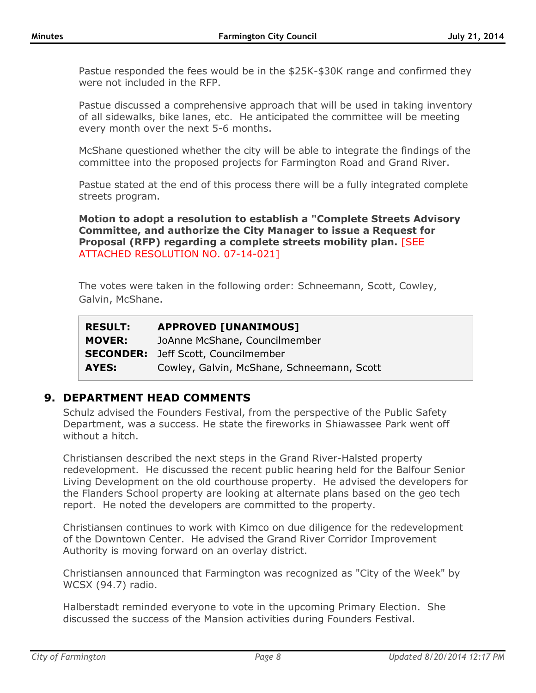Pastue responded the fees would be in the \$25K-\$30K range and confirmed they were not included in the RFP.

Pastue discussed a comprehensive approach that will be used in taking inventory of all sidewalks, bike lanes, etc. He anticipated the committee will be meeting every month over the next 5-6 months.

McShane questioned whether the city will be able to integrate the findings of the committee into the proposed projects for Farmington Road and Grand River.

Pastue stated at the end of this process there will be a fully integrated complete streets program.

**Motion to adopt a resolution to establish a "Complete Streets Advisory Committee, and authorize the City Manager to issue a Request for Proposal (RFP) regarding a complete streets mobility plan.** [SEE ATTACHED RESOLUTION NO. 07-14-021]

The votes were taken in the following order: Schneemann, Scott, Cowley, Galvin, McShane.

| <b>RESULT:</b> | <b>APPROVED [UNANIMOUS]</b>                |
|----------------|--------------------------------------------|
| <b>MOVER:</b>  | JoAnne McShane, Councilmember              |
|                | <b>SECONDER:</b> Jeff Scott, Councilmember |
| AYES:          | Cowley, Galvin, McShane, Schneemann, Scott |

### **9. DEPARTMENT HEAD COMMENTS**

Schulz advised the Founders Festival, from the perspective of the Public Safety Department, was a success. He state the fireworks in Shiawassee Park went off without a hitch.

Christiansen described the next steps in the Grand River-Halsted property redevelopment. He discussed the recent public hearing held for the Balfour Senior Living Development on the old courthouse property. He advised the developers for the Flanders School property are looking at alternate plans based on the geo tech report. He noted the developers are committed to the property.

Christiansen continues to work with Kimco on due diligence for the redevelopment of the Downtown Center. He advised the Grand River Corridor Improvement Authority is moving forward on an overlay district.

Christiansen announced that Farmington was recognized as "City of the Week" by WCSX (94.7) radio.

Halberstadt reminded everyone to vote in the upcoming Primary Election. She discussed the success of the Mansion activities during Founders Festival.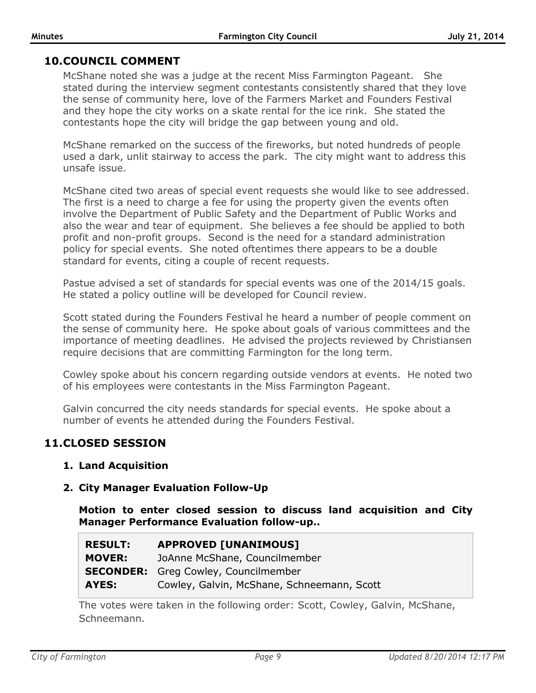## **10.COUNCIL COMMENT**

McShane noted she was a judge at the recent Miss Farmington Pageant. She stated during the interview segment contestants consistently shared that they love the sense of community here, love of the Farmers Market and Founders Festival and they hope the city works on a skate rental for the ice rink. She stated the contestants hope the city will bridge the gap between young and old.

McShane remarked on the success of the fireworks, but noted hundreds of people used a dark, unlit stairway to access the park. The city might want to address this unsafe issue.

McShane cited two areas of special event requests she would like to see addressed. The first is a need to charge a fee for using the property given the events often involve the Department of Public Safety and the Department of Public Works and also the wear and tear of equipment. She believes a fee should be applied to both profit and non-profit groups. Second is the need for a standard administration policy for special events. She noted oftentimes there appears to be a double standard for events, citing a couple of recent requests.

Pastue advised a set of standards for special events was one of the 2014/15 goals. He stated a policy outline will be developed for Council review.

Scott stated during the Founders Festival he heard a number of people comment on the sense of community here. He spoke about goals of various committees and the importance of meeting deadlines. He advised the projects reviewed by Christiansen require decisions that are committing Farmington for the long term.

Cowley spoke about his concern regarding outside vendors at events. He noted two of his employees were contestants in the Miss Farmington Pageant.

Galvin concurred the city needs standards for special events. He spoke about a number of events he attended during the Founders Festival.

## **11.CLOSED SESSION**

### **1. Land Acquisition**

### **2. City Manager Evaluation Follow-Up**

**Motion to enter closed session to discuss land acquisition and City Manager Performance Evaluation follow-up..**

| <b>RESULT:</b> | <b>APPROVED [UNANIMOUS]</b>                 |
|----------------|---------------------------------------------|
| <b>MOVER:</b>  | JoAnne McShane, Councilmember               |
|                | <b>SECONDER:</b> Greg Cowley, Councilmember |
| AYES:          | Cowley, Galvin, McShane, Schneemann, Scott  |

The votes were taken in the following order: Scott, Cowley, Galvin, McShane, Schneemann.